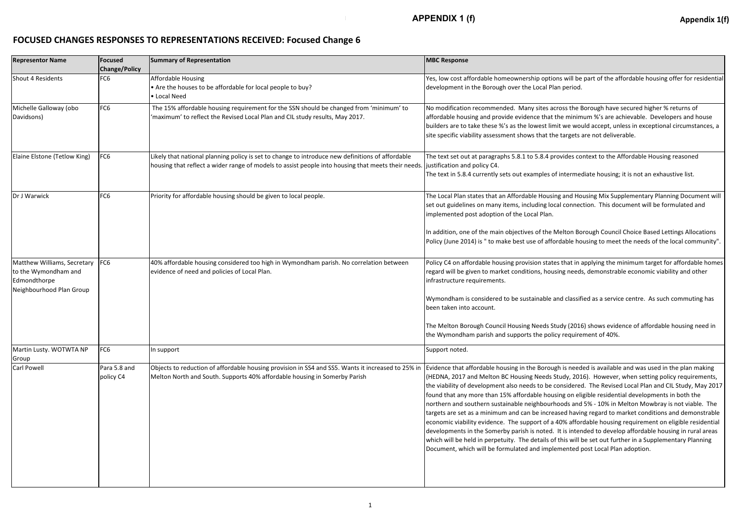## **FOCUSED CHANGES RESPONSES TO REPRESENTATIONS RECEIVED: Focused Change 6**

| <b>Representor Name</b>                                                                         | <b>Focused</b><br><b>Change/Policy</b> | Summary of Representation                                                                                                                                                                              | <b>MBC Response</b>                                                                                                                                                                                                                                                                                                                                                                                                                                                                                               |
|-------------------------------------------------------------------------------------------------|----------------------------------------|--------------------------------------------------------------------------------------------------------------------------------------------------------------------------------------------------------|-------------------------------------------------------------------------------------------------------------------------------------------------------------------------------------------------------------------------------------------------------------------------------------------------------------------------------------------------------------------------------------------------------------------------------------------------------------------------------------------------------------------|
| Shout 4 Residents                                                                               | FC <sub>6</sub>                        | <b>Affordable Housing</b><br>• Are the houses to be affordable for local people to buy?<br>• Local Need                                                                                                | Yes, low cost affordable homeownership optior<br>development in the Borough over the Local Plar                                                                                                                                                                                                                                                                                                                                                                                                                   |
| Michelle Galloway (obo<br>Davidsons)                                                            | FC <sub>6</sub>                        | The 15% affordable housing requirement for the SSN should be changed from 'minimum' to<br>'maximum' to reflect the Revised Local Plan and CIL study results, May 2017.                                 | No modification recommended. Many sites acr<br>affordable housing and provide evidence that th<br>builders are to take these %'s as the lowest limi<br>site specific viability assessment shows that the                                                                                                                                                                                                                                                                                                          |
| Elaine Elstone (Tetlow King)                                                                    | FC <sub>6</sub>                        | Likely that national planning policy is set to change to introduce new definitions of affordable<br>housing that reflect a wider range of models to assist people into housing that meets their needs. | The text set out at paragraphs 5.8.1 to 5.8.4 pro<br>justification and policy C4.<br>The text in 5.8.4 currently sets out examples of                                                                                                                                                                                                                                                                                                                                                                             |
| Dr J Warwick                                                                                    | FC <sub>6</sub>                        | Priority for affordable housing should be given to local people.                                                                                                                                       | The Local Plan states that an Affordable Housing<br>set out guidelines on many items, including loca<br>implemented post adoption of the Local Plan.<br>In addition, one of the main objectives of the M<br>Policy (June 2014) is " to make best use of affor                                                                                                                                                                                                                                                     |
| Matthew Williams, Secretary<br>to the Wymondham and<br>Edmondthorpe<br>Neighbourhood Plan Group | FC6                                    | 40% affordable housing considered too high in Wymondham parish. No correlation between<br>evidence of need and policies of Local Plan.                                                                 | Policy C4 on affordable housing provision states<br>regard will be given to market conditions, housi<br>infrastructure requirements.<br>Wymondham is considered to be sustainable ar<br>been taken into account.<br>The Melton Borough Council Housing Needs Stu                                                                                                                                                                                                                                                  |
| Martin Lusty. WOTWTA NP                                                                         | FC <sub>6</sub>                        | In support                                                                                                                                                                                             | the Wymondham parish and supports the policy<br>Support noted.                                                                                                                                                                                                                                                                                                                                                                                                                                                    |
| Group<br>Carl Powell                                                                            | Para 5.8 and<br>policy C4              | Objects to reduction of affordable housing provision in SS4 and SS5. Wants it increased to 25% in<br>Melton North and South. Supports 40% affordable housing in Somerby Parish                         | Evidence that affordable housing in the Borougl<br>(HEDNA, 2017 and Melton BC Housing Needs St<br>the viability of development also needs to be co<br>found that any more than 15% affordable housi<br>northern and southern sustainable neighbourho<br>targets are set as a minimum and can be increas<br>economic viability evidence. The support of a 4<br>developments in the Somerby parish is noted. I<br>which will be held in perpetuity. The details of<br>Document, which will be formulated and impler |

ns will be part of the affordable housing offer for residential n period.

ross the Borough have secured higher % returns of he minimum %'s are achievable. Developers and house it we would accept, unless in exceptional circumstances, a stargets are not deliverable.

ovides context to the Affordable Housing reasoned

intermediate housing; it is not an exhaustive list.

Ig and Housing Mix Supplementary Planning Document will al connection. This document will be formulated and

**Ielton Borough Council Choice Based Lettings Allocations** rdable housing to meet the needs of the local community".

s that in applying the minimum target for affordable homes ing needs, demonstrable economic viability and other

nd classified as a service centre. As such commuting has

udy (2016) shows evidence of affordable housing need in y requirement of 40%.

h is needed is available and was used in the plan making tudy, 2016). However, when setting policy requirements, onsidered. The Revised Local Plan and CIL Study, May 2017 ing on eligible residential developments in both the oods and 5% - 10% in Melton Mowbray is not viable. The sed having regard to market conditions and demonstrable 10% affordable housing requirement on eligible residential It is intended to develop affordable housing in rural areas this will be set out further in a Supplementary Planning mented post Local Plan adoption.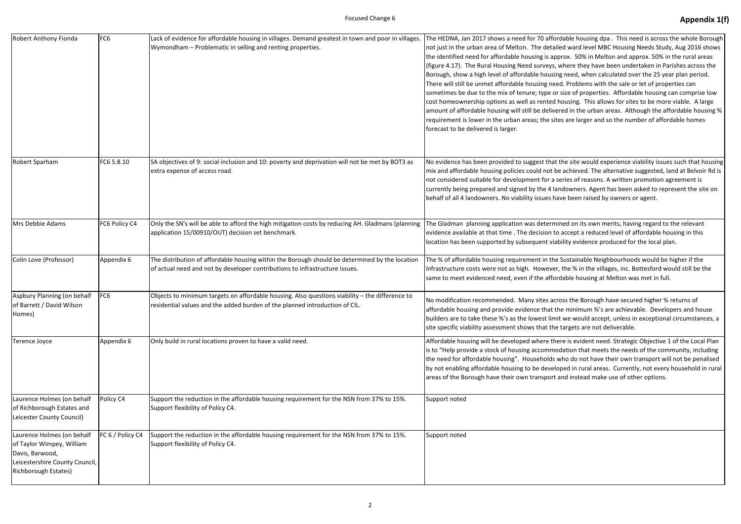| Robert Anthony Fionda                                                                                                                | FC <sub>6</sub>  | Lack of evidence for affordable housing in villages. Demand greatest in town and poor in villages.<br>Wymondham - Problematic in selling and renting properties.              | The HEDNA, Jan 2017 shows a need for 70 affor<br>not just in the urban area of Melton. The detail<br>the identified need for affordable housing is app<br>(figure 4.17). The Rural Housing Need surveys,<br>Borough, show a high level of affordable housin<br>There will still be unmet affordable housing nee<br>sometimes be due to the mix of tenure; type or<br>cost homeownership options as well as rented I<br>amount of affordable housing will still be delive<br>requirement is lower in the urban areas; the site<br>forecast to be delivered is larger. |
|--------------------------------------------------------------------------------------------------------------------------------------|------------------|-------------------------------------------------------------------------------------------------------------------------------------------------------------------------------|----------------------------------------------------------------------------------------------------------------------------------------------------------------------------------------------------------------------------------------------------------------------------------------------------------------------------------------------------------------------------------------------------------------------------------------------------------------------------------------------------------------------------------------------------------------------|
| Robert Sparham                                                                                                                       | FC6 5.8.10       | SA objectives of 9: social inclusion and 10: poverty and deprivation will not be met by BOT3 as<br>extra expense of access road.                                              | No evidence has been provided to suggest that<br>mix and affordable housing policies could not be<br>not considered suitable for development for a s<br>currently being prepared and signed by the 4 lar<br>behalf of all 4 landowners. No viability issues ha                                                                                                                                                                                                                                                                                                       |
| Mrs Debbie Adams                                                                                                                     | FC6 Policy C4    | Only the SN's will be able to afford the high mitigation costs by reducing AH. Gladmans (planning<br>application 15/00910/OUT) decision set benchmark.                        | The Gladman planning application was determi<br>evidence available at that time . The decision to<br>location has been supported by subsequent vial                                                                                                                                                                                                                                                                                                                                                                                                                  |
| Colin Love (Professor)                                                                                                               | Appendix 6       | The distribution of affordable housing within the Borough should be determined by the location<br>of actual need and not by developer contributions to infrastructure issues. | The % of affordable housing requirement in the<br>infrastructure costs were not as high. However<br>same to meet evidenced need, even if the affor                                                                                                                                                                                                                                                                                                                                                                                                                   |
| Aspbury Planning (on behalf<br>of Barrett / David Wilson<br>Homes)                                                                   | FC <sub>6</sub>  | Objects to minimum targets on affordable housing. Also questions viability - the difference to<br>residential values and the added burden of the planned introduction of CIL. | No modification recommended. Many sites acr<br>affordable housing and provide evidence that th<br>builders are to take these %'s as the lowest limi<br>site specific viability assessment shows that the                                                                                                                                                                                                                                                                                                                                                             |
| Terence Joyce                                                                                                                        | Appendix 6       | Only build in rural locations proven to have a valid need.                                                                                                                    | Affordable housing will be developed where the<br>is to "Help provide a stock of housing accommo<br>the need for affordable housing". Households v<br>by not enabling affordable housing to be develd<br>areas of the Borough have their own transport a                                                                                                                                                                                                                                                                                                             |
| Laurence Holmes (on behalf<br>of Richborough Estates and<br>Leicester County Council)                                                | Policy C4        | Support the reduction in the affordable housing requirement for the NSN from 37% to 15%.<br>Support flexibility of Policy C4.                                                 | Support noted                                                                                                                                                                                                                                                                                                                                                                                                                                                                                                                                                        |
| Laurence Holmes (on behalf<br>of Taylor Wimpey, William<br>Davis, Barwood,<br>Leicestershire County Council,<br>Richborough Estates) | FC 6 / Policy C4 | Support the reduction in the affordable housing requirement for the NSN from 37% to 15%.<br>Support flexibility of Policy C4.                                                 | Support noted                                                                                                                                                                                                                                                                                                                                                                                                                                                                                                                                                        |

rdable housing dpa. This need is across the whole Borough led ward level MBC Housing Needs Study, Aug 2016 shows prox. 50% in Melton and approx. 50% in the rural areas where they have been undertaken in Parishes across the g need, when calculated over the 25 year plan period. ed. Problems with the sale or let of properties can r size of properties. Affordable housing can comprise low housing. This allows for sites to be more viable. A large ared in the urban areas. Although the affordable housing % res are larger and so the number of affordable homes

the site would experience viability issues such that housing e achieved. The alternative suggested, land at Belvoir Rd is series of reasons. A written promotion agreement is ndowners. Agent has been asked to represent the site on ave been raised by owners or agent.

ined on its own merits, having regard to the relevant accept a reduced level of affordable housing in this bility evidence produced for the local plan.

**Sustainable Neighbourhoods would be higher if the**  $\tau$ , the % in the villages, inc. Bottesford would still be the rdable housing at Melton was met in full.

ross the Borough have secured higher % returns of he minimum %'s are achievable. Developers and house it we would accept, unless in exceptional circumstances, a stargets are not deliverable.

ere is evident need. Strategic Objective 1 of the Local Plan odation that meets the needs of the community, including who do not have their own transport will not be penalised by not in rural areas. Currently, not every household in rural and instead make use of other options.